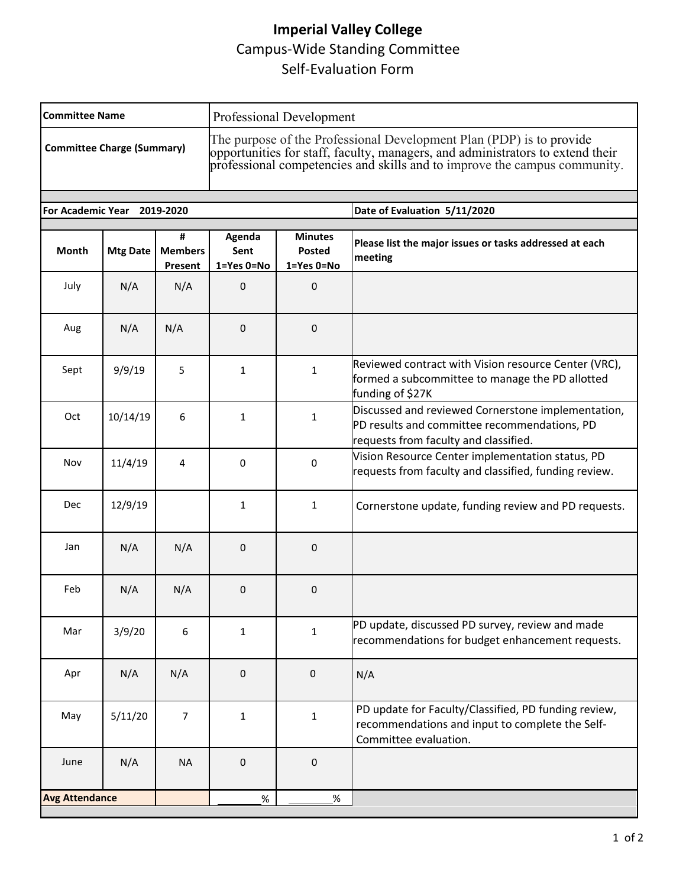# **Imperial Valley College** Campus-Wide Standing Committee Self-Evaluation Form

| <b>Committee Name</b>             |                 |                                | Professional Development                                                                                                                                                                                                            |                                        |                                                                                                                                             |  |
|-----------------------------------|-----------------|--------------------------------|-------------------------------------------------------------------------------------------------------------------------------------------------------------------------------------------------------------------------------------|----------------------------------------|---------------------------------------------------------------------------------------------------------------------------------------------|--|
| <b>Committee Charge (Summary)</b> |                 |                                | The purpose of the Professional Development Plan (PDP) is to provide<br>opportunities for staff, faculty, managers, and administrators to extend their<br>professional competencies and skills and to improve the campus community. |                                        |                                                                                                                                             |  |
| <b>For Academic Year</b>          |                 | 2019-2020                      |                                                                                                                                                                                                                                     |                                        | Date of Evaluation 5/11/2020                                                                                                                |  |
| <b>Month</b>                      | <b>Mtg Date</b> | #<br><b>Members</b><br>Present | Agenda<br>Sent<br>$1 = Yes$ $0 = No$                                                                                                                                                                                                | <b>Minutes</b><br>Posted<br>1=Yes 0=No | Please list the major issues or tasks addressed at each<br>meeting                                                                          |  |
| July                              | N/A             | N/A                            | 0                                                                                                                                                                                                                                   | 0                                      |                                                                                                                                             |  |
| Aug                               | N/A             | N/A                            | 0                                                                                                                                                                                                                                   | 0                                      |                                                                                                                                             |  |
| Sept                              | 9/9/19          | 5                              | 1                                                                                                                                                                                                                                   | 1                                      | Reviewed contract with Vision resource Center (VRC),<br>formed a subcommittee to manage the PD allotted<br>funding of \$27K                 |  |
| Oct                               | 10/14/19        | 6                              | $\mathbf{1}$                                                                                                                                                                                                                        | $\mathbf{1}$                           | Discussed and reviewed Cornerstone implementation,<br>PD results and committee recommendations, PD<br>requests from faculty and classified. |  |
| Nov                               | 11/4/19         | 4                              | 0                                                                                                                                                                                                                                   | 0                                      | Vision Resource Center implementation status, PD<br>requests from faculty and classified, funding review.                                   |  |
| Dec                               | 12/9/19         |                                | 1                                                                                                                                                                                                                                   | 1                                      | Cornerstone update, funding review and PD requests.                                                                                         |  |
| Jan                               | N/A             | N/A                            | 0                                                                                                                                                                                                                                   | 0                                      |                                                                                                                                             |  |
| Feb                               | N/A             | N/A                            | 0                                                                                                                                                                                                                                   | 0                                      |                                                                                                                                             |  |
| Mar                               | 3/9/20          | 6                              | $\mathbf{1}$                                                                                                                                                                                                                        | $\mathbf{1}$                           | PD update, discussed PD survey, review and made<br>recommendations for budget enhancement requests.                                         |  |
| Apr                               | N/A             | N/A                            | 0                                                                                                                                                                                                                                   | $\mathbf 0$                            | N/A                                                                                                                                         |  |
| May                               | 5/11/20         | $\overline{7}$                 | $\mathbf{1}$                                                                                                                                                                                                                        | 1                                      | PD update for Faculty/Classified, PD funding review,<br>recommendations and input to complete the Self-<br>Committee evaluation.            |  |
| June                              | N/A             | <b>NA</b>                      | 0                                                                                                                                                                                                                                   | $\pmb{0}$                              |                                                                                                                                             |  |
| <b>Avg Attendance</b><br>%<br>%   |                 |                                |                                                                                                                                                                                                                                     |                                        |                                                                                                                                             |  |